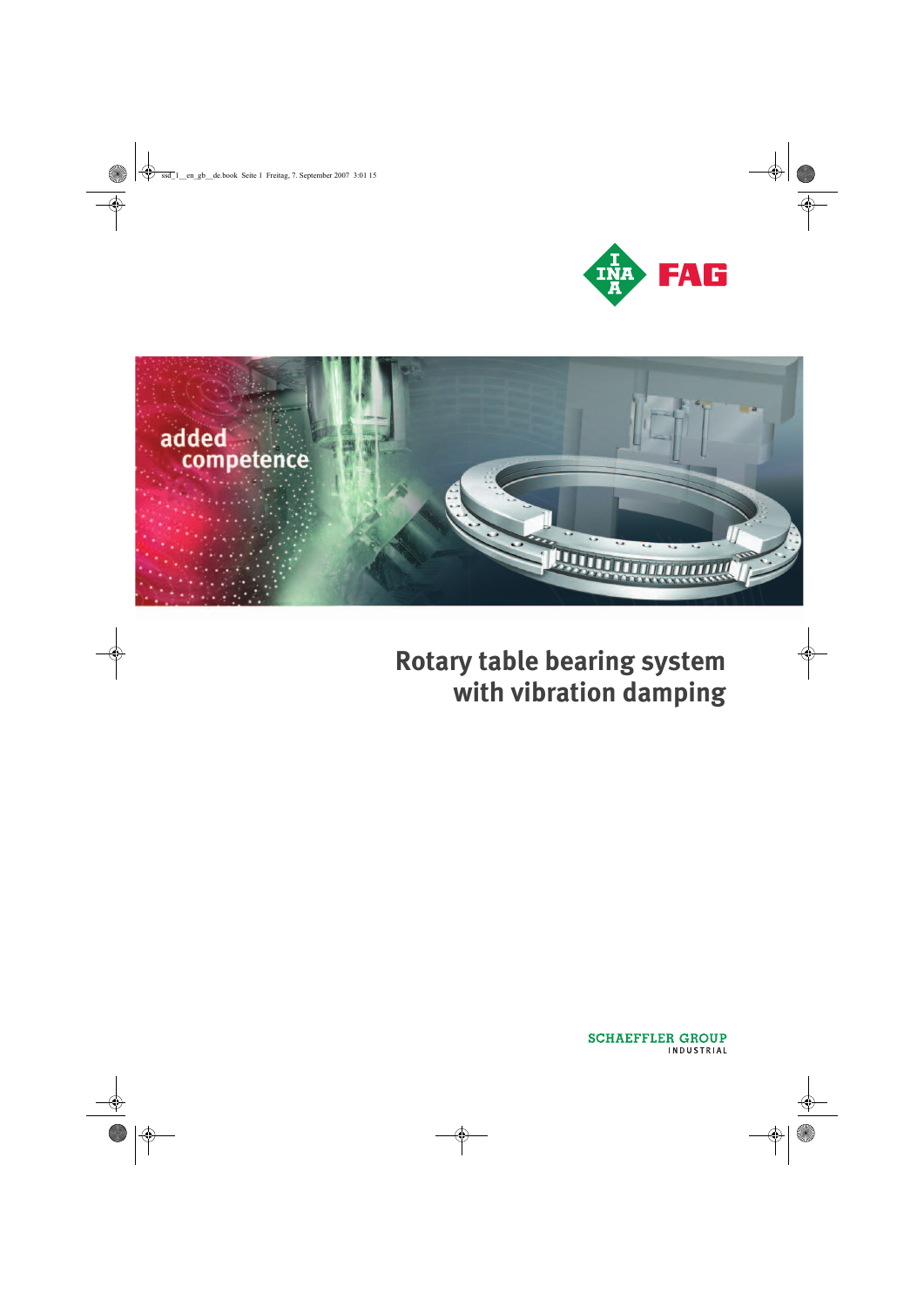



# **Rotary table bearing system with vibration damping**

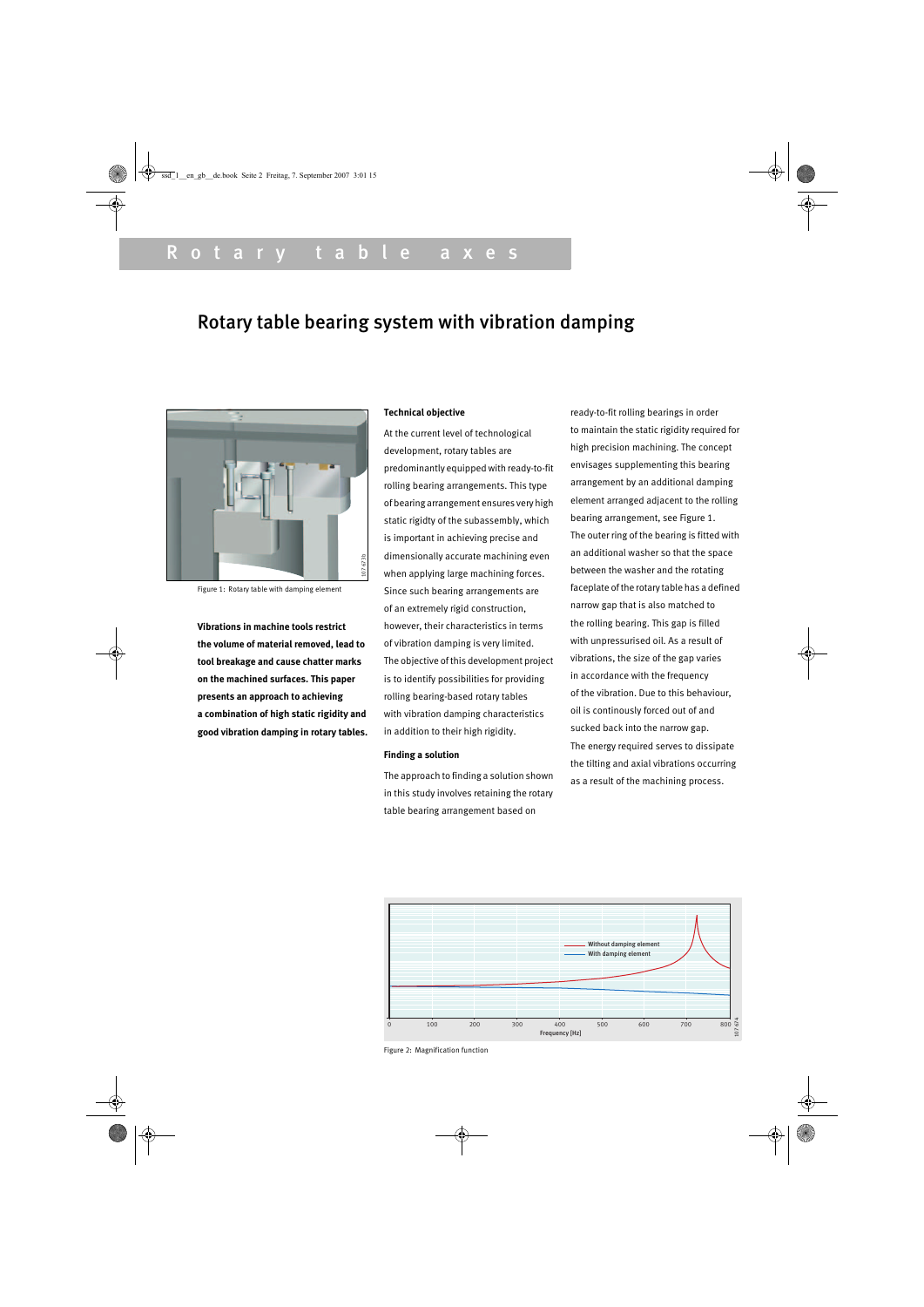## Rotary table bearing system with vibration damping



Figure 1: Rotary table with damping element

**Vibrations in machine tools restrict the volume of material removed, lead to tool breakage and cause chatter marks on the machined surfaces. This paper presents an approach to achieving a combination of high static rigidity and good vibration damping in rotary tables.**

#### **Technical objective**

At the current level of technological development, rotary tables are predominantly equipped with ready-to-fit rolling bearing arrangements. This type of bearing arrangement ensures very high static rigidty of the subassembly, which is important in achieving precise and dimensionally accurate machining even when applying large machining forces. Since such bearing arrangements are of an extremely rigid construction, however, their characteristics in terms of vibration damping is very limited. The objective of this development project is to identify possibilities for providing rolling bearing-based rotary tables with vibration damping characteristics in addition to their high rigidity.

#### **Finding a solution**

The approach to finding a solution shown in this study involves retaining the rotary table bearing arrangement based on

ready-to-fit rolling bearings in order to maintain the static rigidity required for high precision machining. The concept envisages supplementing this bearing arrangement by an additional damping element arranged adjacent to the rolling bearing arrangement, see Figure 1. The outer ring of the bearing is fitted with an additional washer so that the space between the washer and the rotating faceplate of the rotary table has a defined narrow gap that is also matched to the rolling bearing. This gap is filled with unpressurised oil. As a result of vibrations, the size of the gap varies in accordance with the frequency of the vibration. Due to this behaviour, oil is continously forced out of and sucked back into the narrow gap. The energy required serves to dissipate the tilting and axial vibrations occurring as a result of the machining process.



Figure 2: Magnification function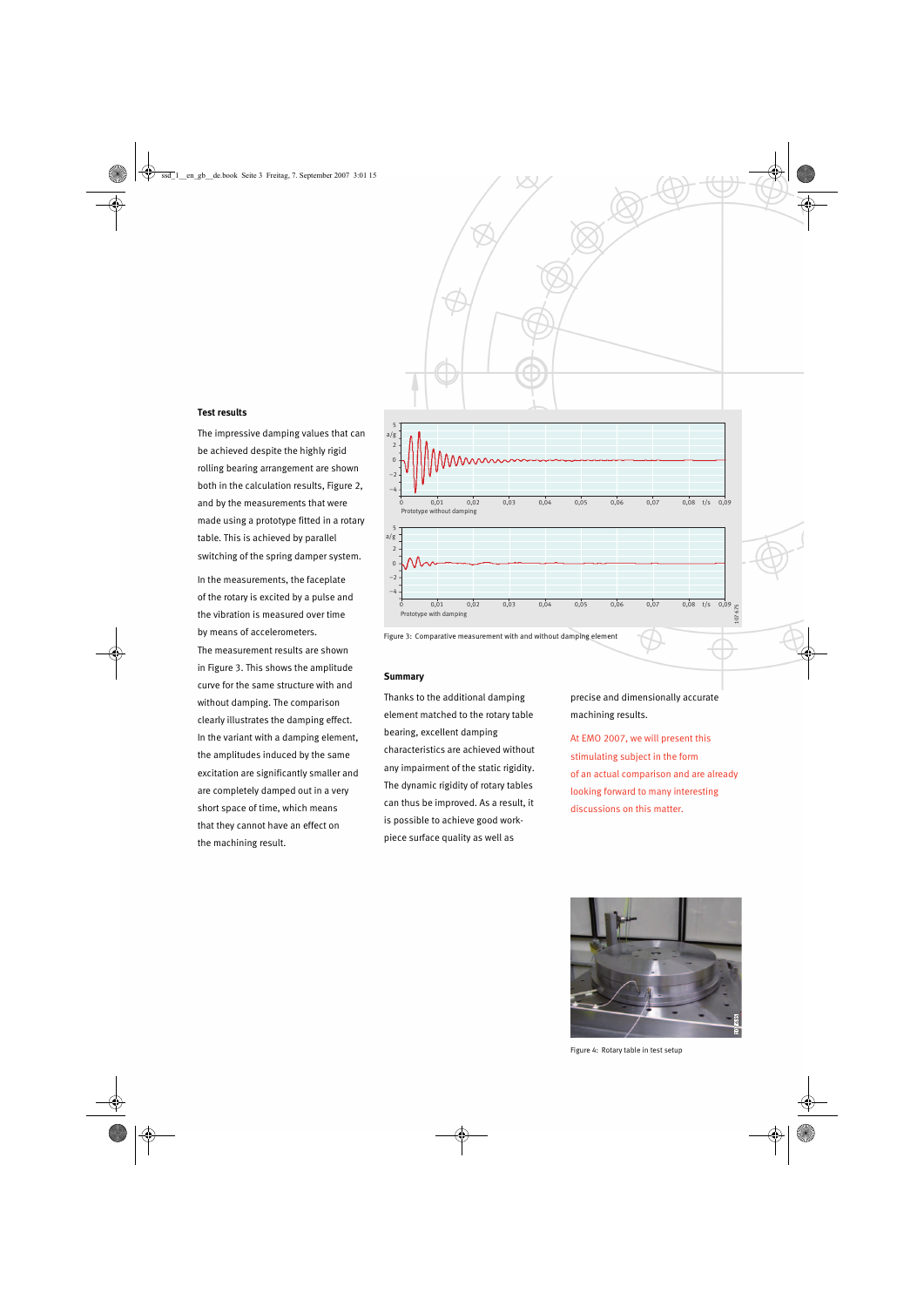

#### **Test results**

The impressive damping values that can be achieved despite the highly rigid rolling bearing arrangement are shown both in the calculation results, Figure 2, and by the measurements that were made using a prototype fitted in a rotary table. This is achieved by parallel switching of the spring damper system.

In the measurements, the faceplate of the rotary is excited by a pulse and the vibration is measured over time by means of accelerometers. The measurement results are shown in Figure 3. This shows the amplitude curve for the same structure with and without damping. The comparison clearly illustrates the damping effect. In the variant with a damping element, the amplitudes induced by the same excitation are significantly smaller and are completely damped out in a very short space of time, which means that they cannot have an effect on the machining result.



#### **Summary**

Thanks to the additional damping element matched to the rotary table bearing, excellent damping characteristics are achieved without any impairment of the static rigidity. The dynamic rigidity of rotary tables can thus be improved. As a result, it is possible to achieve good workpiece surface quality as well as

precise and dimensionally accurate machining results.

At EMO 2007, we will present this stimulating subject in the form of an actual comparison and are already looking forward to many interesting discussions on this matter.



Figure 4: Rotary table in test setup